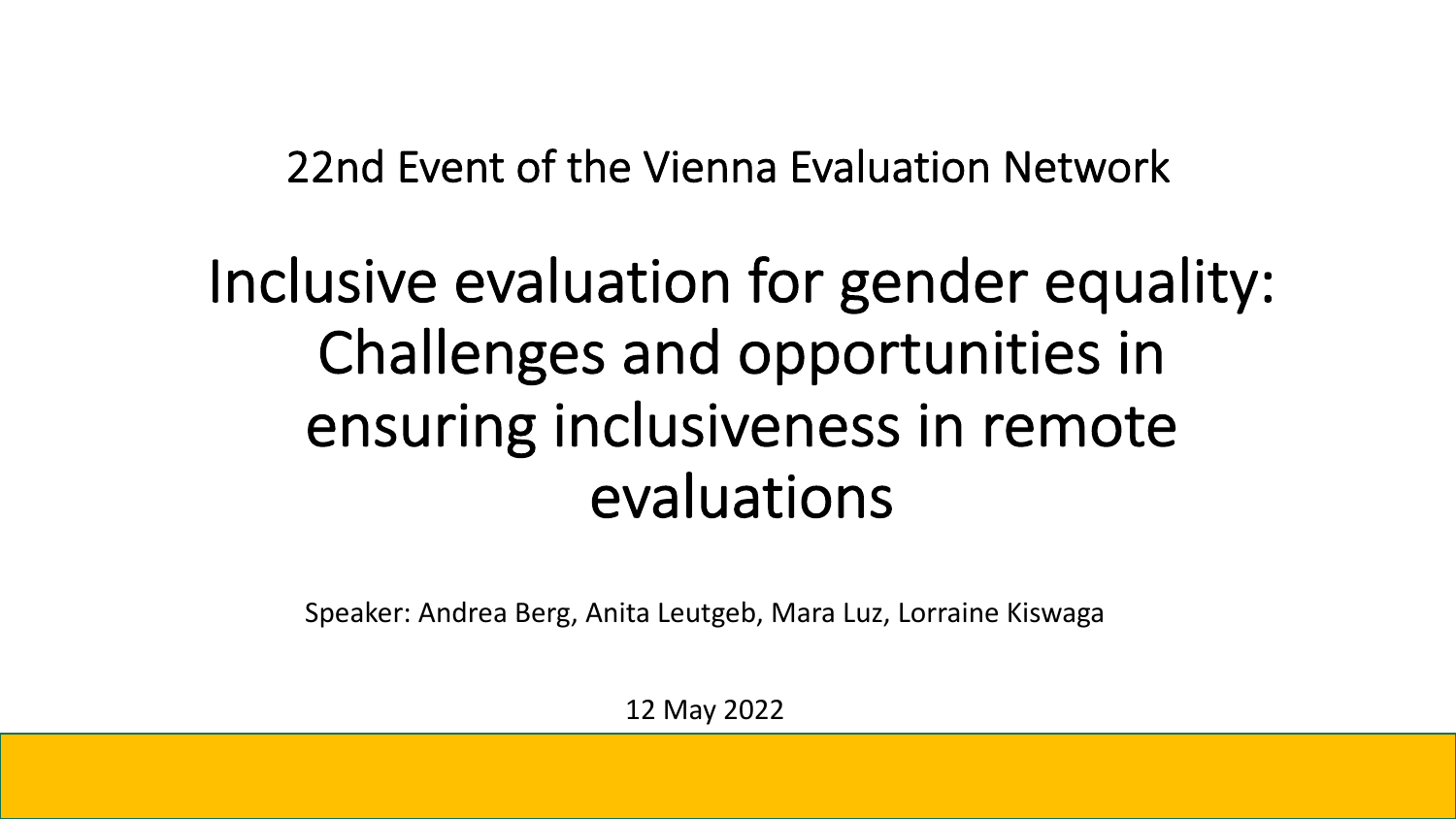#### 22nd Event of the Vienna Evaluation Network

# Inclusive evaluation for gender equality: Challenges and opportunities in ensuring inclusiveness in remote evaluations

Speaker: Andrea Berg, Anita Leutgeb, Mara Luz, Lorraine Kiswaga

12 May 2022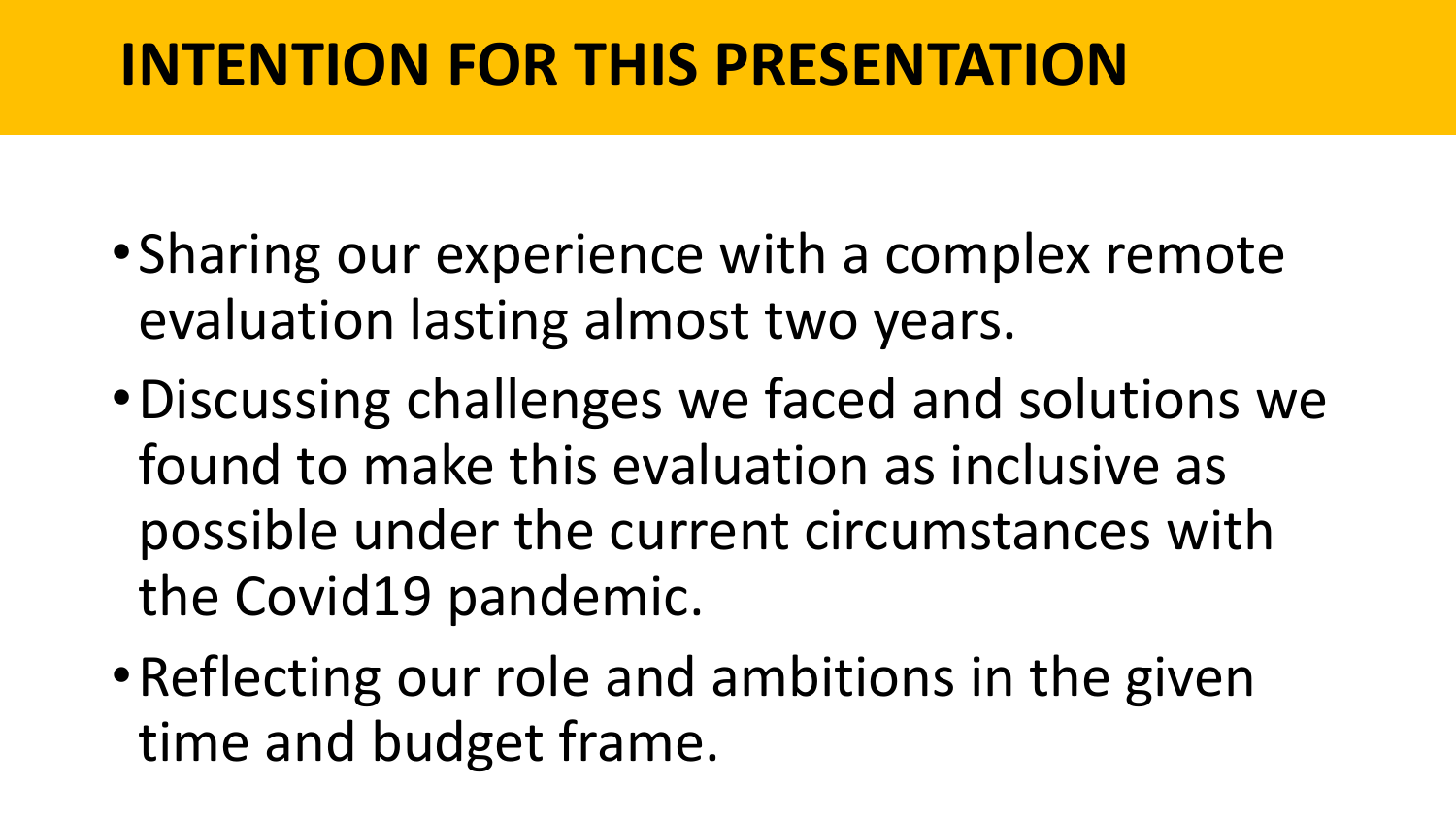## **INTENTION FOR THIS PRESENTATION**

- •Sharing our experience with a complex remote evaluation lasting almost two years.
- •Discussing challenges we faced and solutions we found to make this evaluation as inclusive as possible under the current circumstances with the Covid19 pandemic.
- •Reflecting our role and ambitions in the given time and budget frame.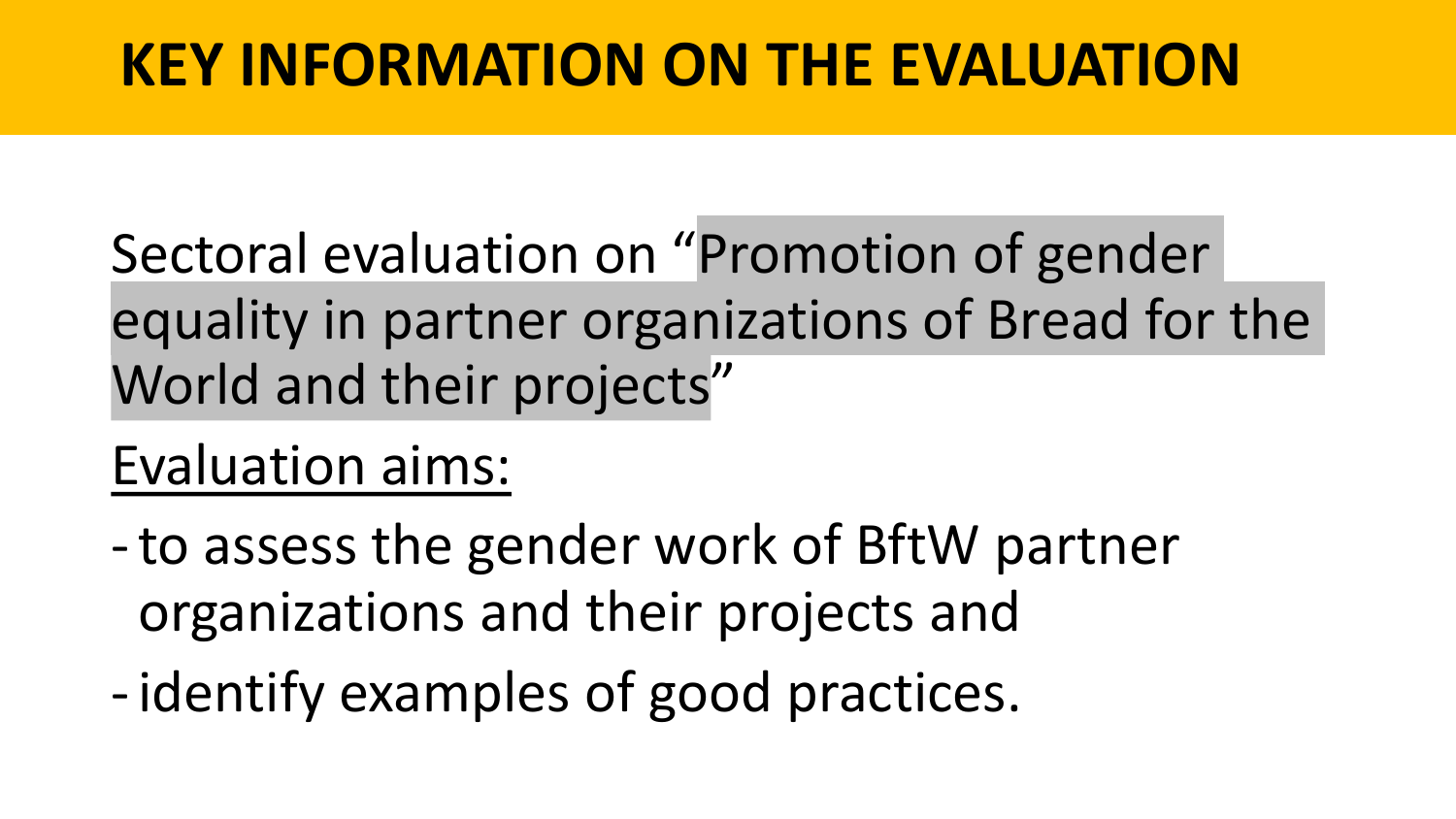## **KEY INFORMATION ON THE EVALUATION**

Sectoral evaluation on "Promotion of gender equality in partner organizations of Bread for the World and their projects"

### Evaluation aims:

- -to assess the gender work of BftW partner organizations and their projects and
- -identify examples of good practices.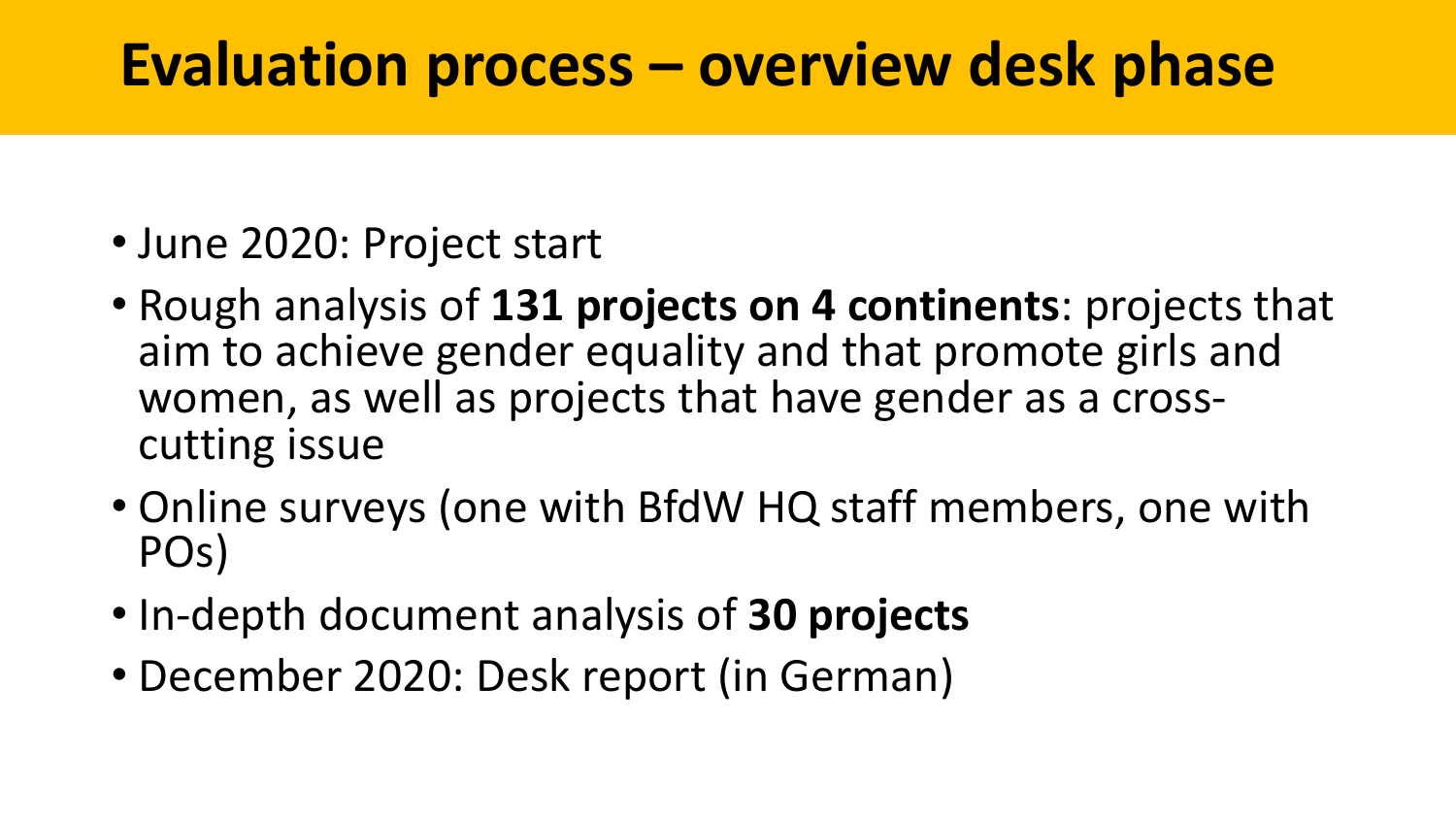## **Evaluation process – overview desk phase**

- June 2020: Project start
- Rough analysis of **131 projects on 4 continents**: projects that aim to achieve gender equality and that promote girls and women, as well as projects that have gender as a cross- cutting issue
- Online surveys (one with BfdW HQ staff members, one with POs)
- In-depth document analysis of **30 projects**
- December 2020: Desk report (in German)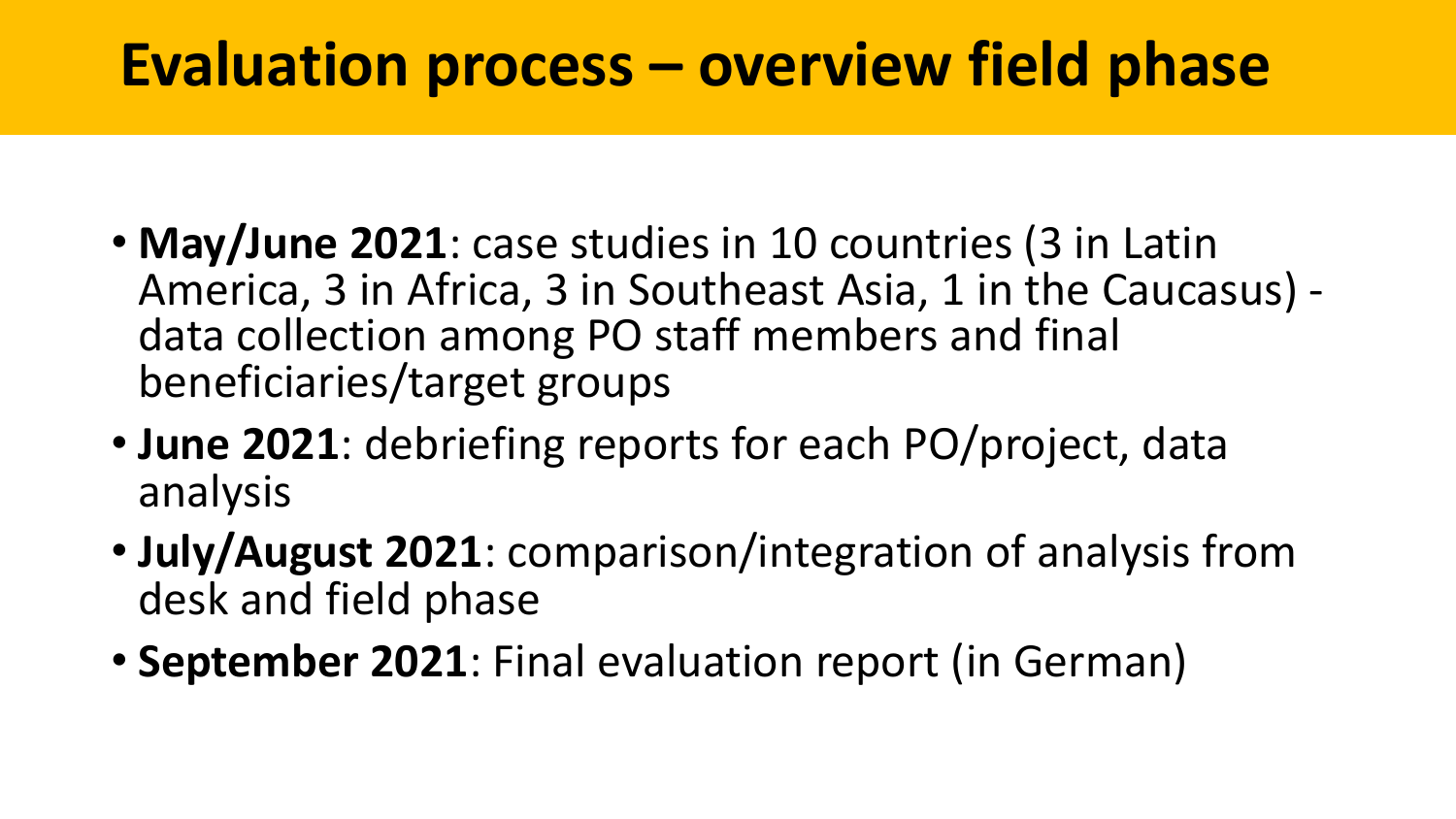## **Evaluation process – overview field phase**

- **May/June 2021**: case studies in 10 countries (3 in Latin America, 3 in Africa, 3 in Southeast Asia, 1 in the Caucasus) - data collection among PO staff members and final beneficiaries/target groups
- **June 2021**: debriefing reports for each PO/project, data analysis
- **July/August 2021**: comparison/integration of analysis from desk and field phase
- **September 2021**: Final evaluation report (in German)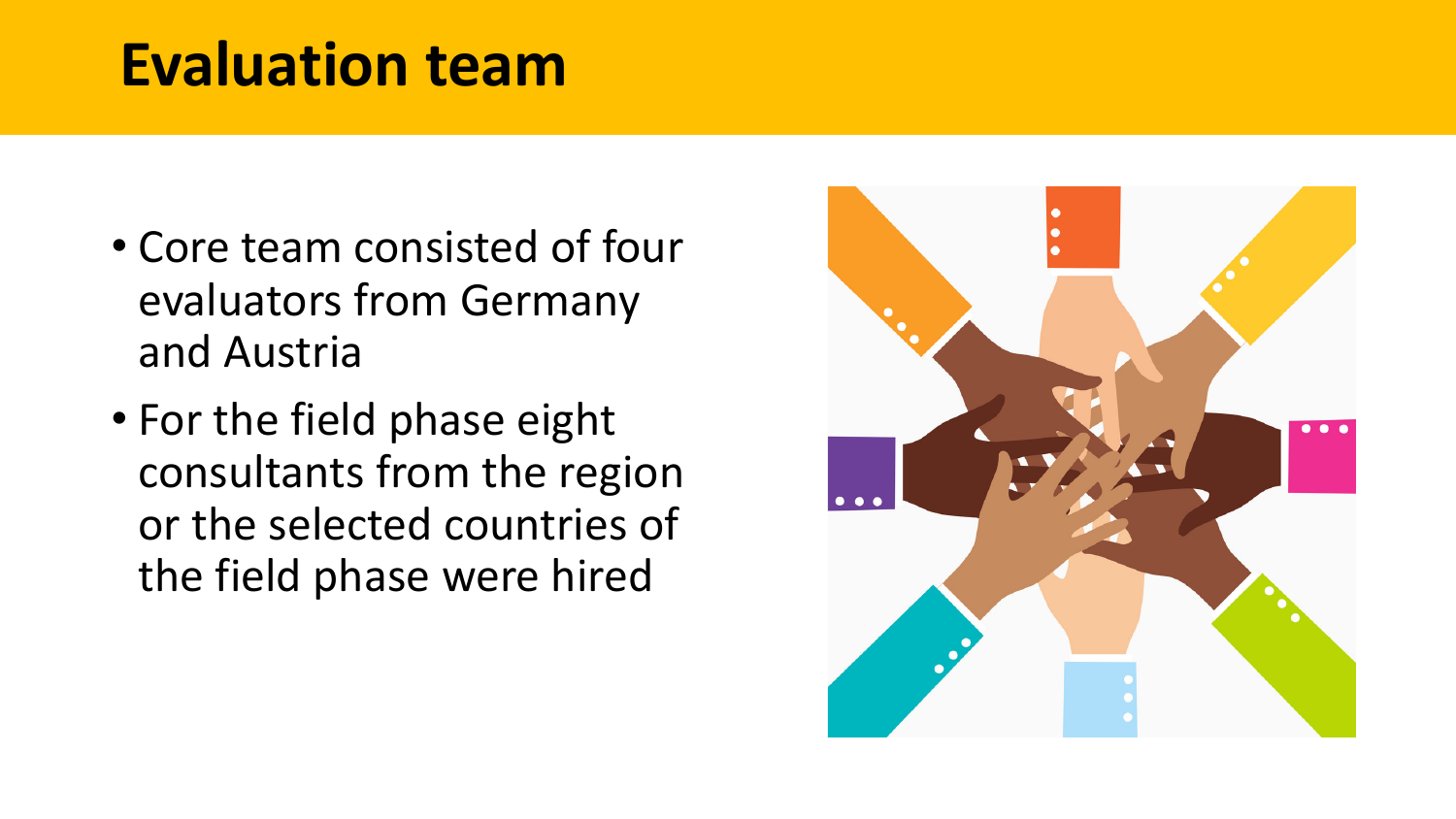## **Evaluation team**

- Core team consisted of four evaluators from Germany and Austria
- For the field phase eight consultants from the region or the selected countries of the field phase were hired

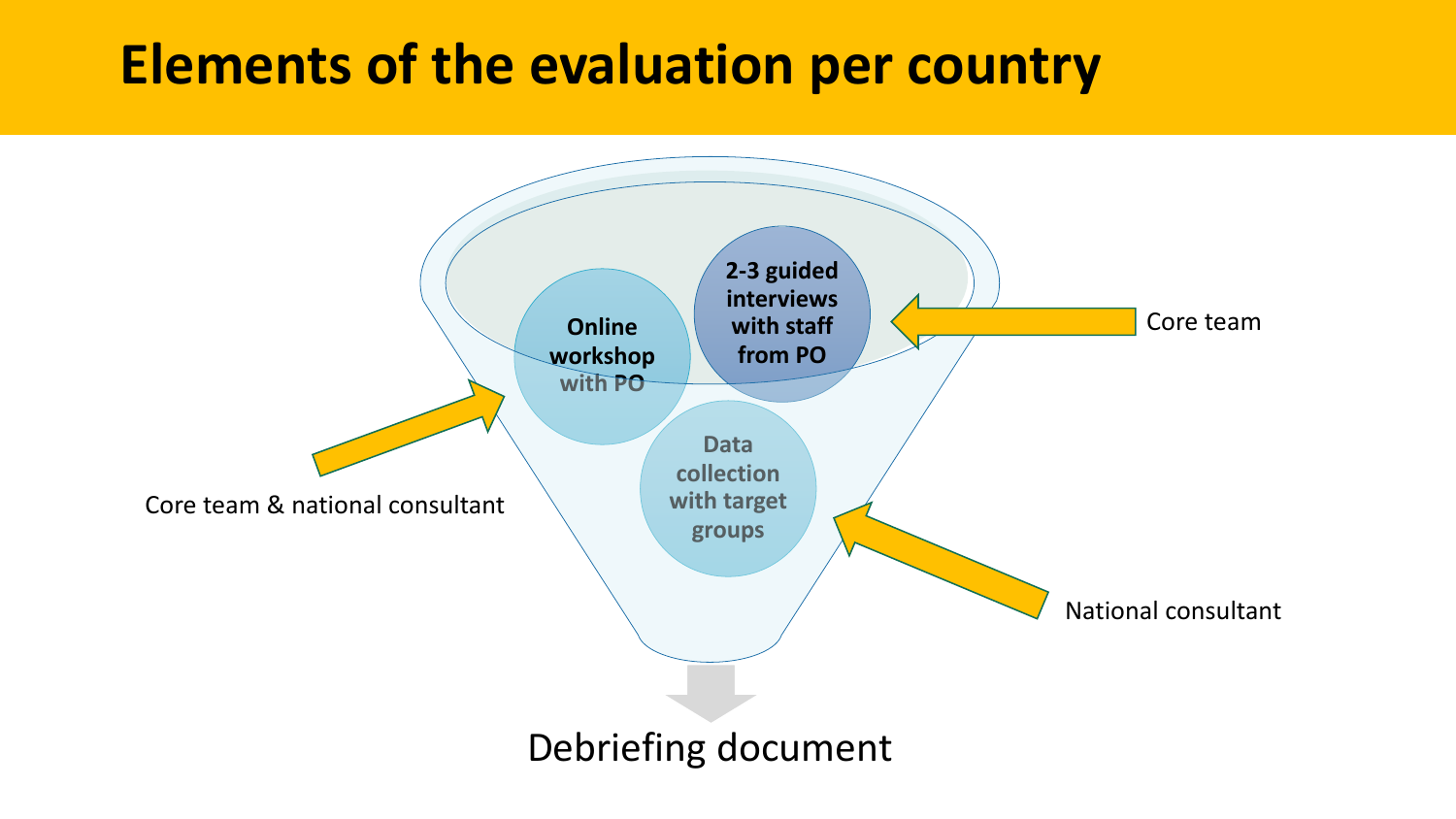### **Elements of the evaluation per country**

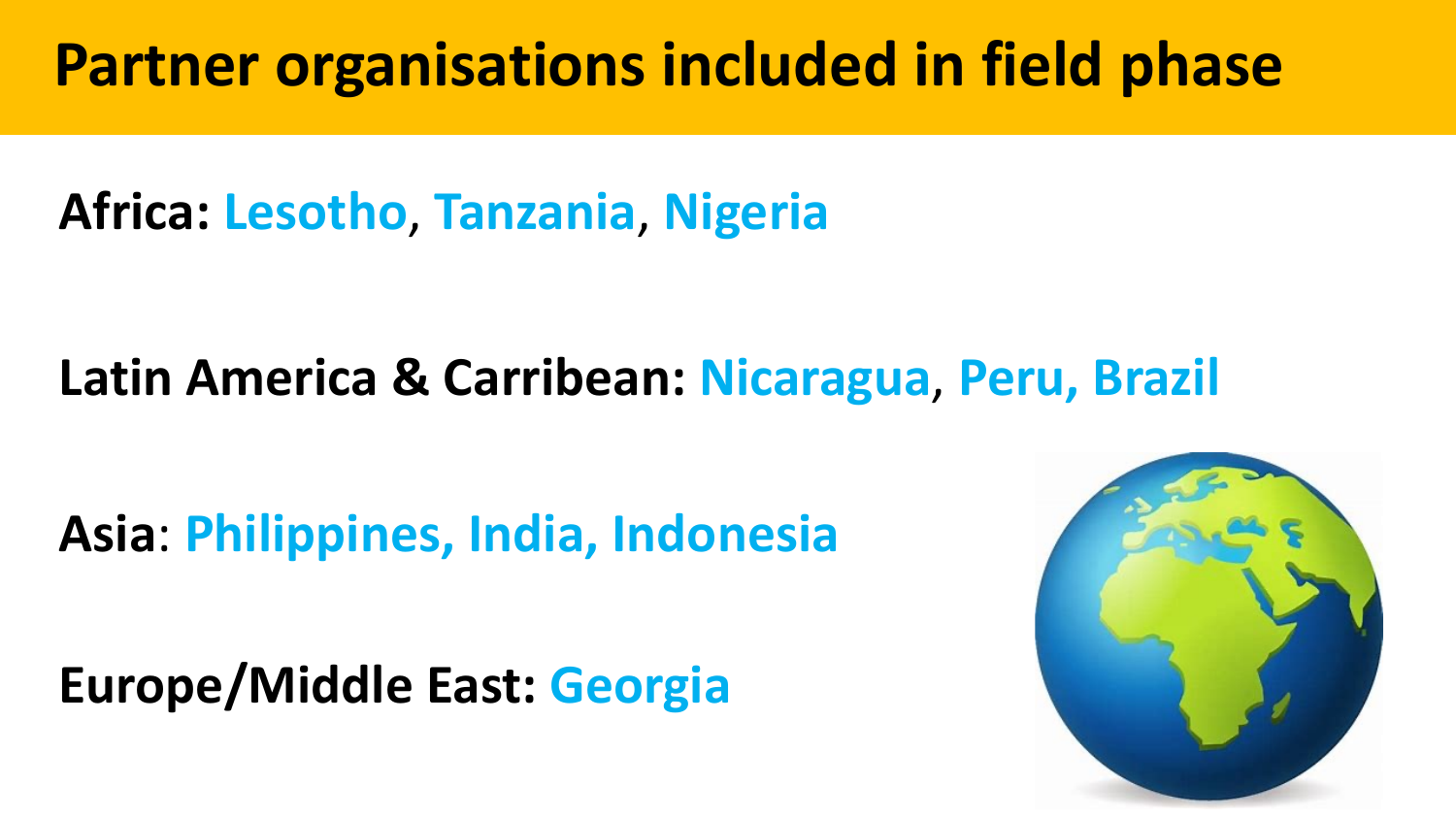### **Partner organisations included in field phase**

### **Africa: Lesotho**, **Tanzania**, **Nigeria**

### **Latin America & Carribean: Nicaragua**, **Peru, Brazil**

**Asia**: **Philippines, India, Indonesia** 

**Europe/Middle East: Georgia**

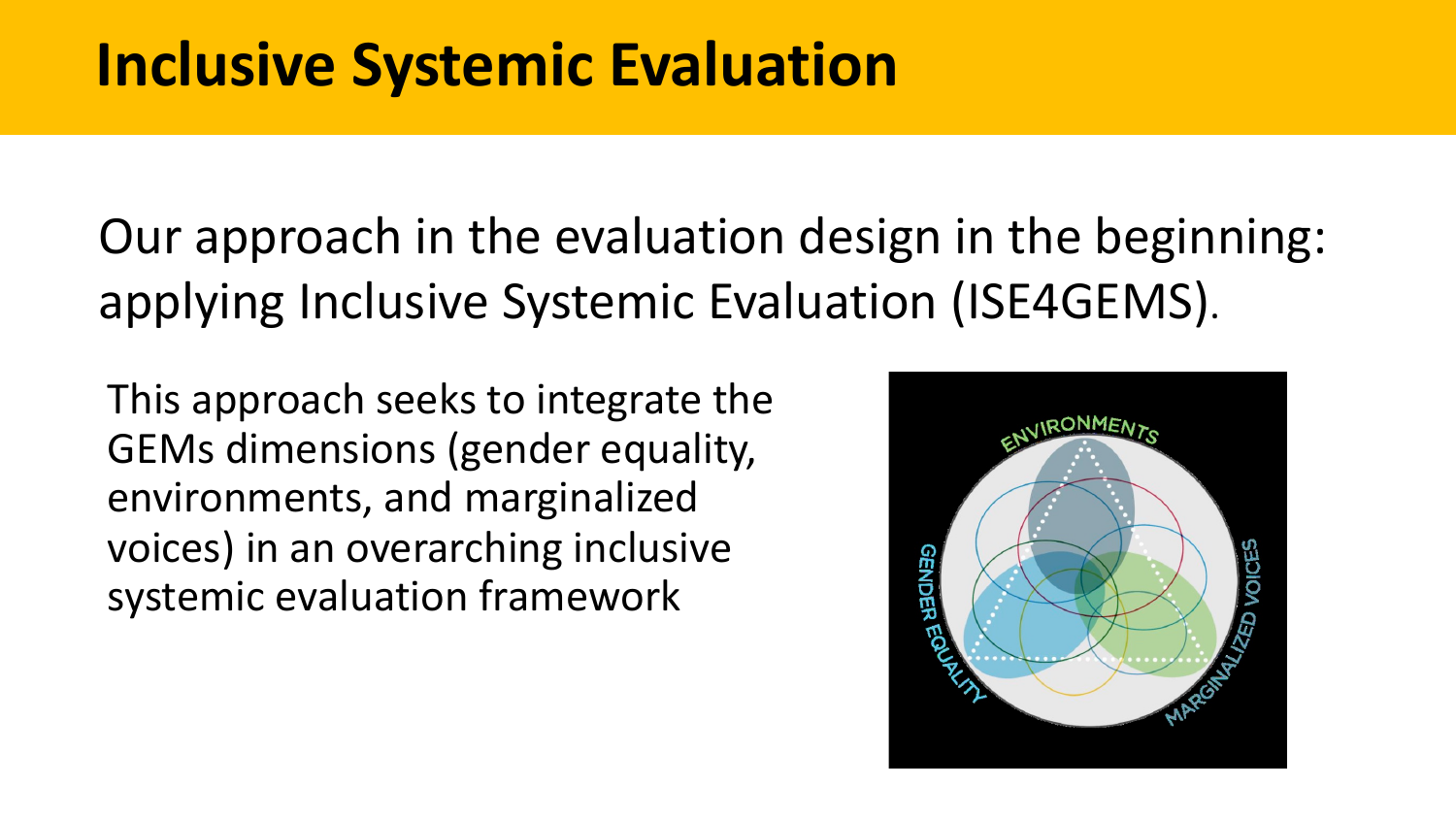### **Inclusive Systemic Evaluation**

Our approach in the evaluation design in the beginning: applying Inclusive Systemic Evaluation (ISE4GEMS).

This approach seeks to integrate the GEMs dimensions (gender equality, environments, and marginalized voices) in an overarching inclusive systemic evaluation framework

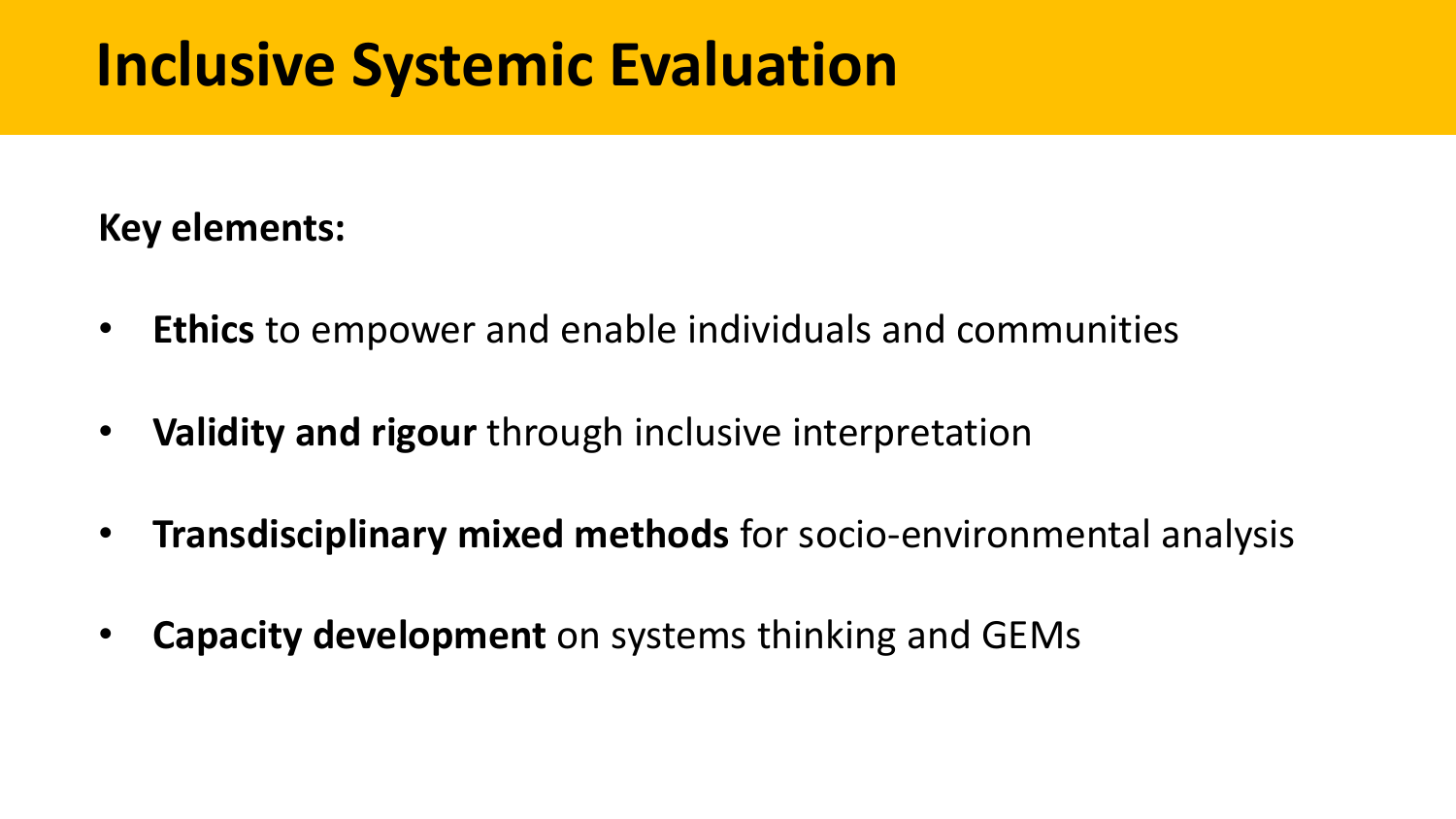## **Inclusive Systemic Evaluation**

#### **Key elements:**

- **Ethics** to empower and enable individuals and communities
- **Validity and rigour** through inclusive interpretation
- **Transdisciplinary mixed methods** for socio-environmental analysis
- **Capacity development** on systems thinking and GEMs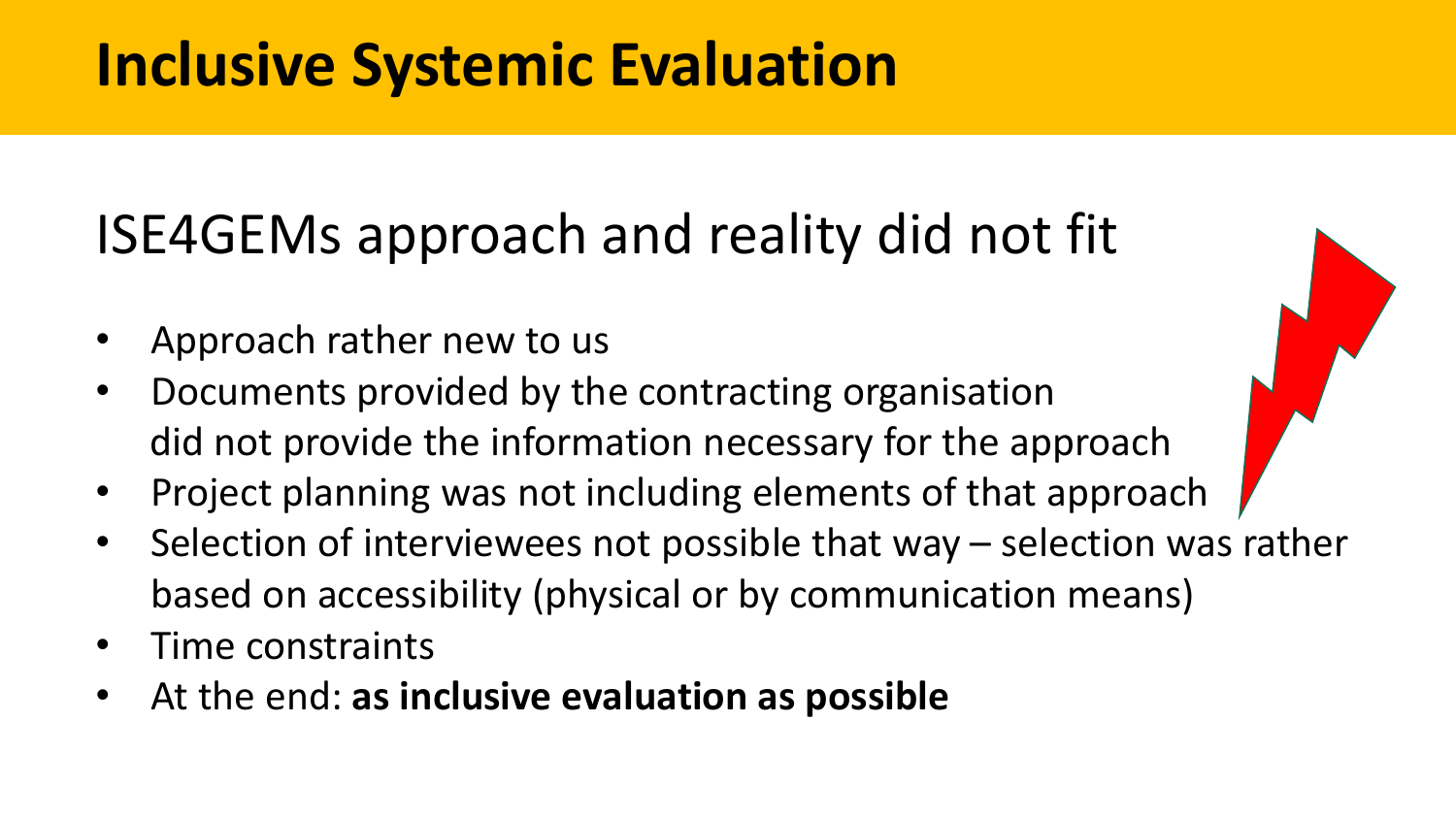# **Inclusive Systemic Evaluation**

### ISE4GEMs approach and reality did not fit

- Approach rather new to us
- Documents provided by the contracting organisation did not provide the information necessary for the approach
- Project planning was not including elements of that approach
- Selection of interviewees not possible that way selection was rather based on accessibility (physical or by communication means)
- Time constraints
- At the end: **as inclusive evaluation as possible**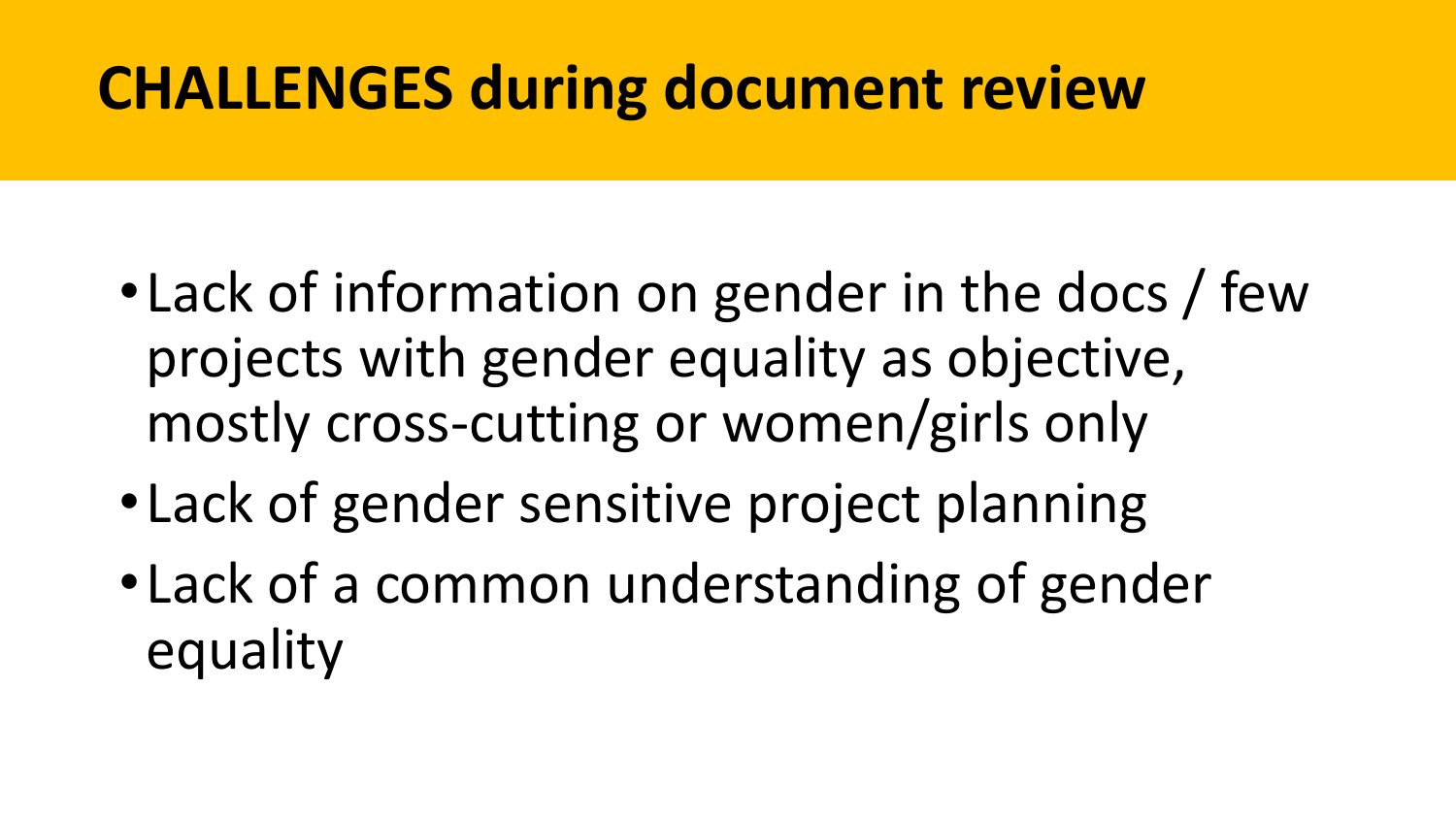### **CHALLENGES during document review**

- •Lack of information on gender in the docs / few projects with gender equality as objective, mostly cross-cutting or women/girls only
- •Lack of gender sensitive project planning
- •Lack of a common understanding of gender equality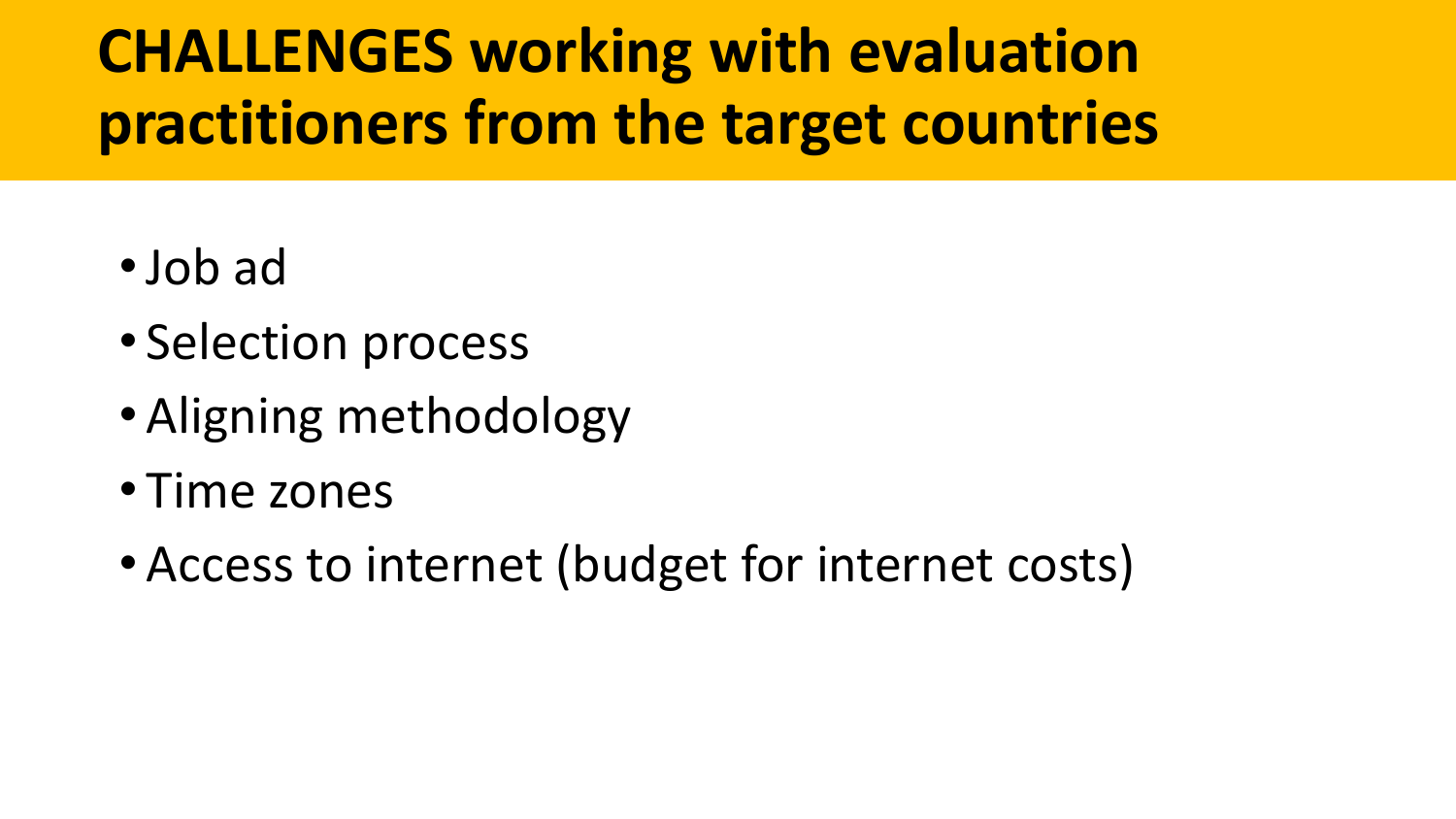# **CHALLENGES working with evaluation practitioners from the target countries**

- •Job ad
- Selection process
- Aligning methodology
- Time zones
- Access to internet (budget for internet costs)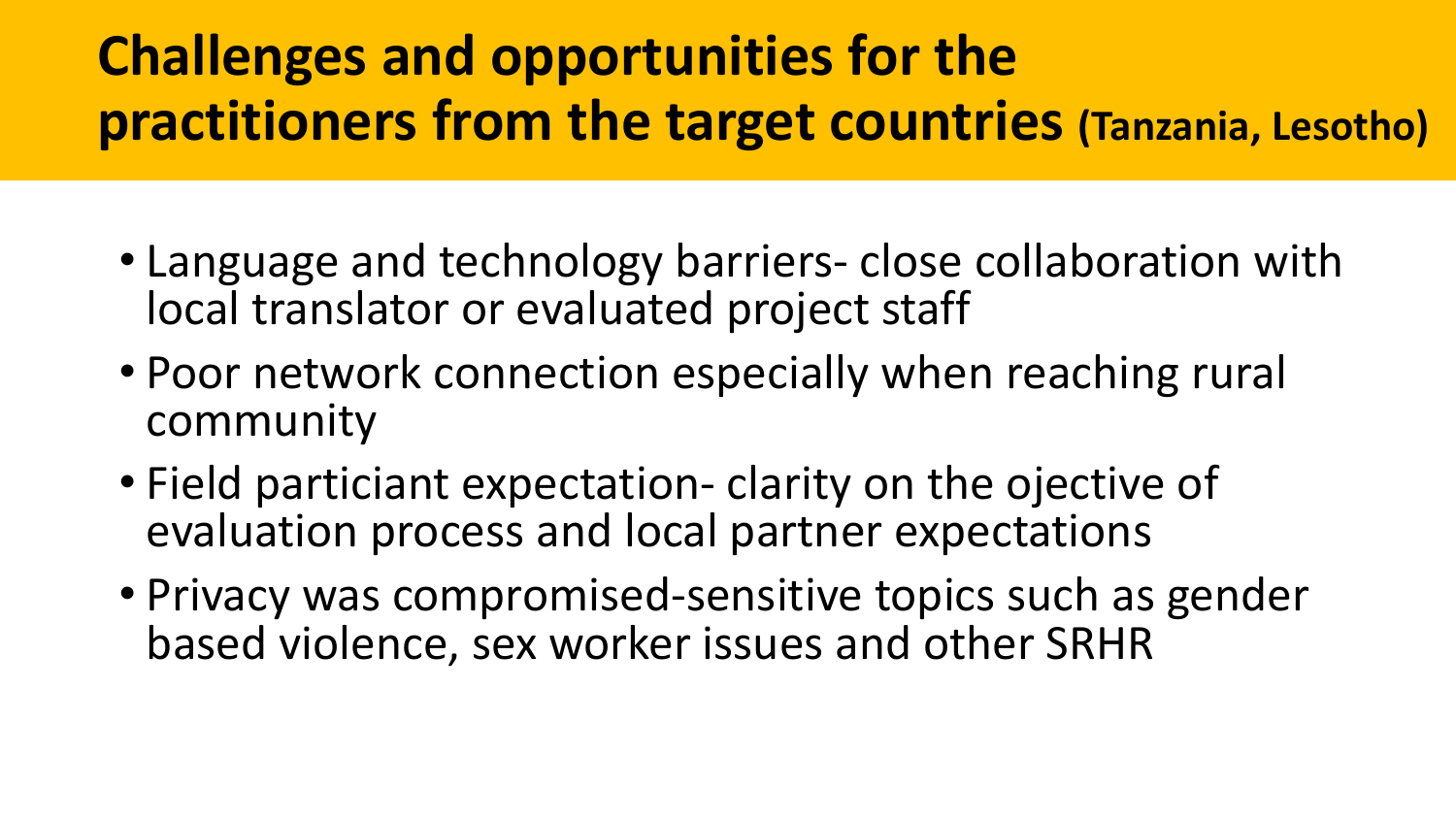### **Challenges and opportunities for the practitioners from the target countries (Tanzania, Lesotho)**

- Language and technology barriers- close collaboration with local translator or evaluated project staff
- Poor network connection especially when reaching rural community
- Field particiant expectation- clarity on the ojective of evaluation process and local partner expectations
- Privacy was compromised-sensitive topics such as gender based violence, sex worker issues and other SRHR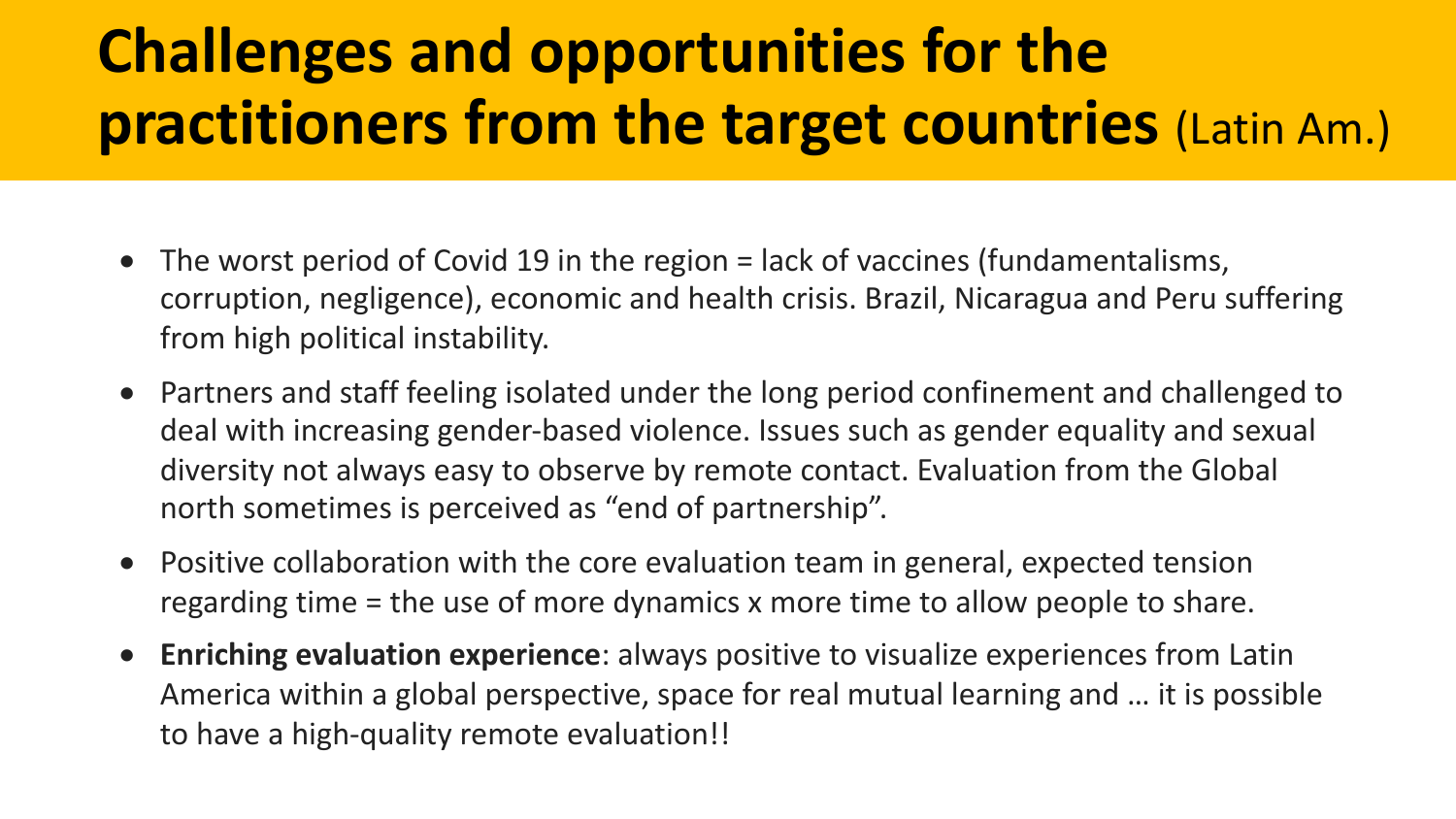# **Challenges and opportunities for the practitioners from the target countries** (Latin Am.)

- The worst period of Covid 19 in the region = lack of vaccines (fundamentalisms, corruption, negligence), economic and health crisis. Brazil, Nicaragua and Peru suffering from high political instability.
- Partners and staff feeling isolated under the long period confinement and challenged to deal with increasing gender-based violence. Issues such as gender equality and sexual diversity not always easy to observe by remote contact. Evaluation from the Global north sometimes is perceived as "end of partnership".
- Positive collaboration with the core evaluation team in general, expected tension regarding time = the use of more dynamics x more time to allow people to share.
- **Enriching evaluation experience**: always positive to visualize experiences from Latin America within a global perspective, space for real mutual learning and … it is possible to have a high-quality remote evaluation!!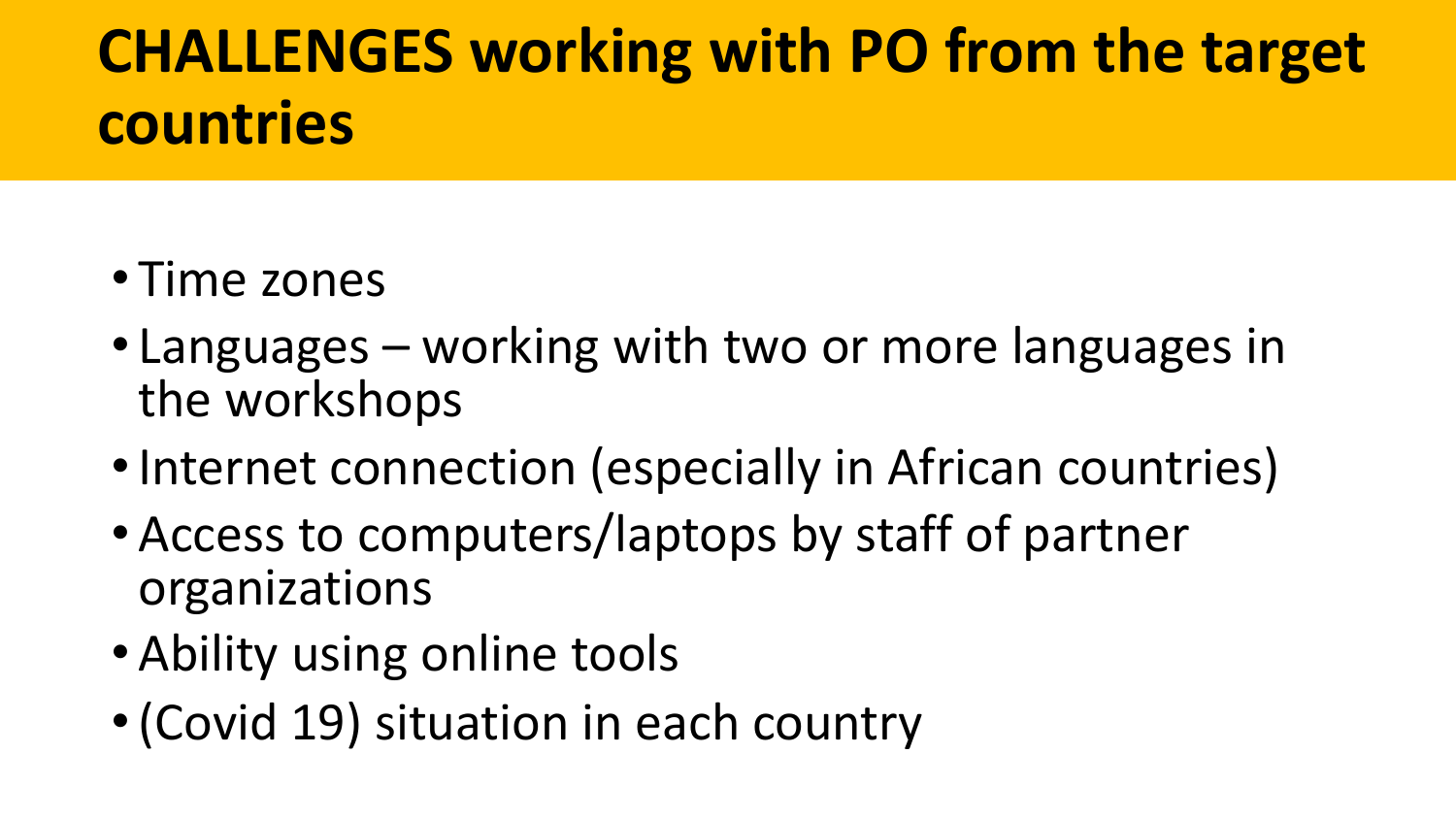# **CHALLENGES working with PO from the target countries**

- Time zones
- Languages working with two or more languages in the workshops
- Internet connection (especially in African countries)
- Access to computers/laptops by staff of partner organizations
- Ability using online tools
- •(Covid 19) situation in each country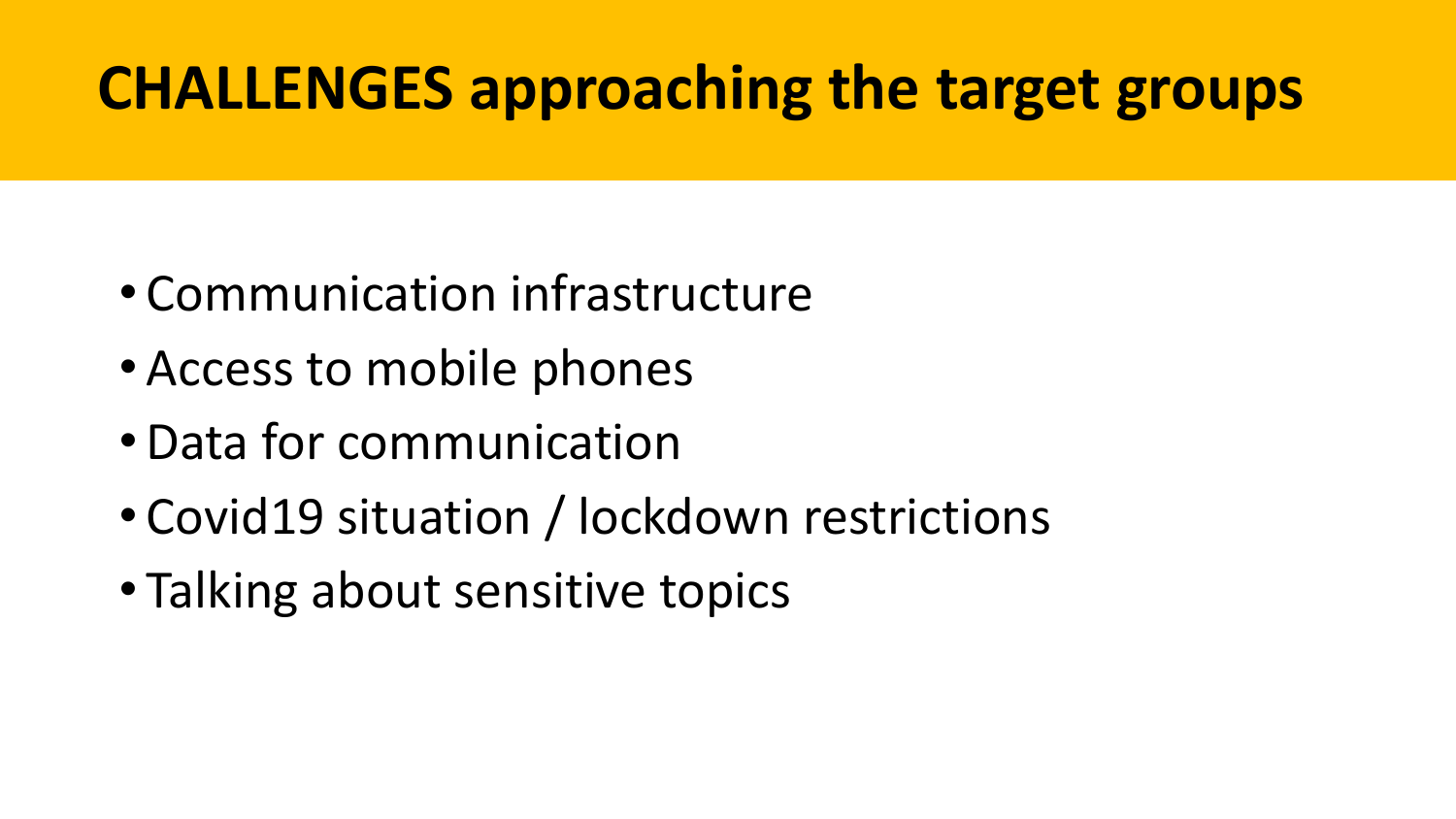### **CHALLENGES approaching the target groups**

- Communication infrastructure
- Access to mobile phones
- •Data for communication
- Covid19 situation / lockdown restrictions
- Talking about sensitive topics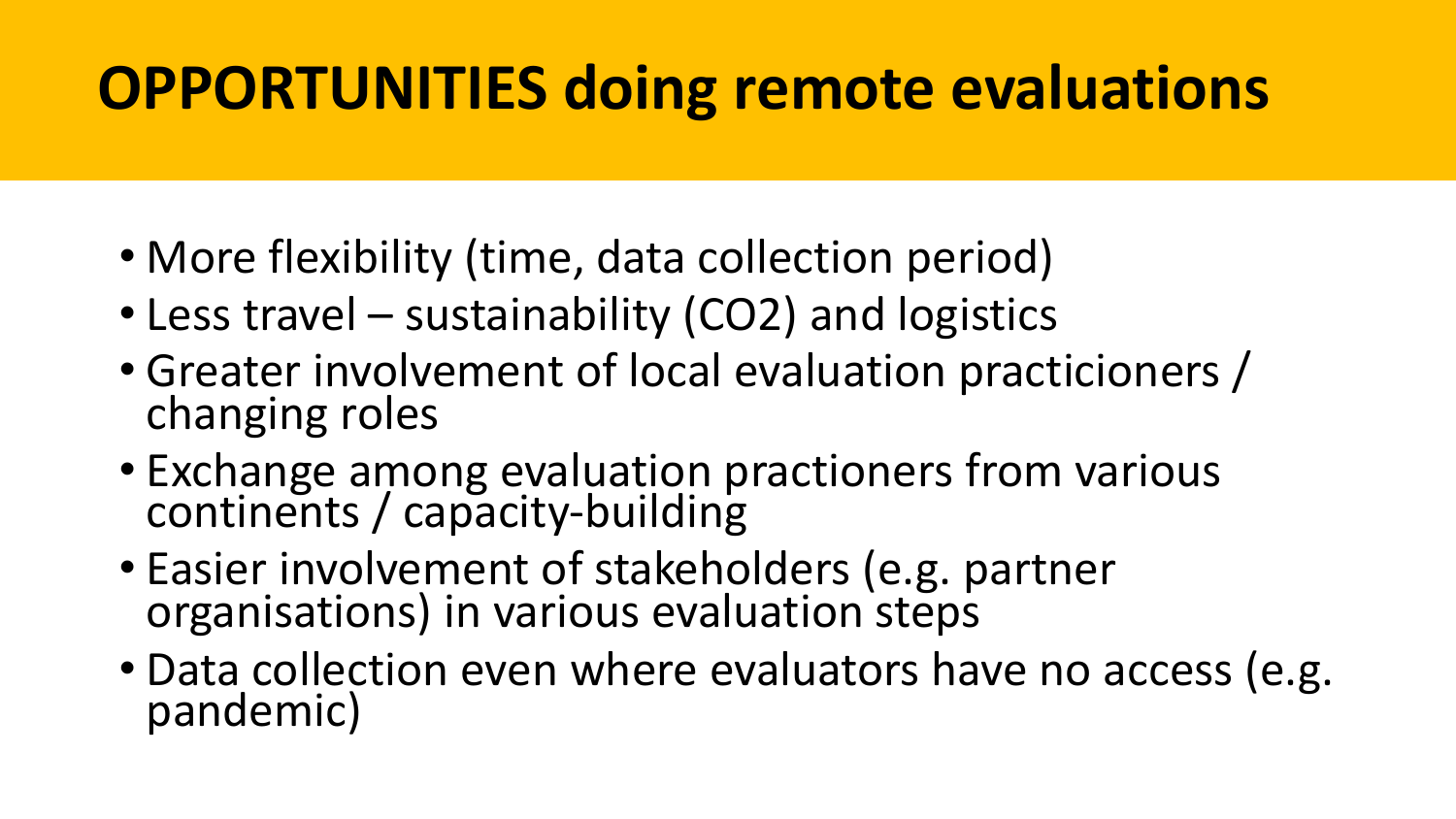# **OPPORTUNITIES doing remote evaluations**

- More flexibility (time, data collection period)
- Less travel sustainability (CO2) and logistics
- Greater involvement of local evaluation practicioners / changing roles
- Exchange among evaluation practioners from various continents / capacity-building
- Easier involvement of stakeholders (e.g. partner organisations) in various evaluation steps
- Data collection even where evaluators have no access (e.g. pandemic)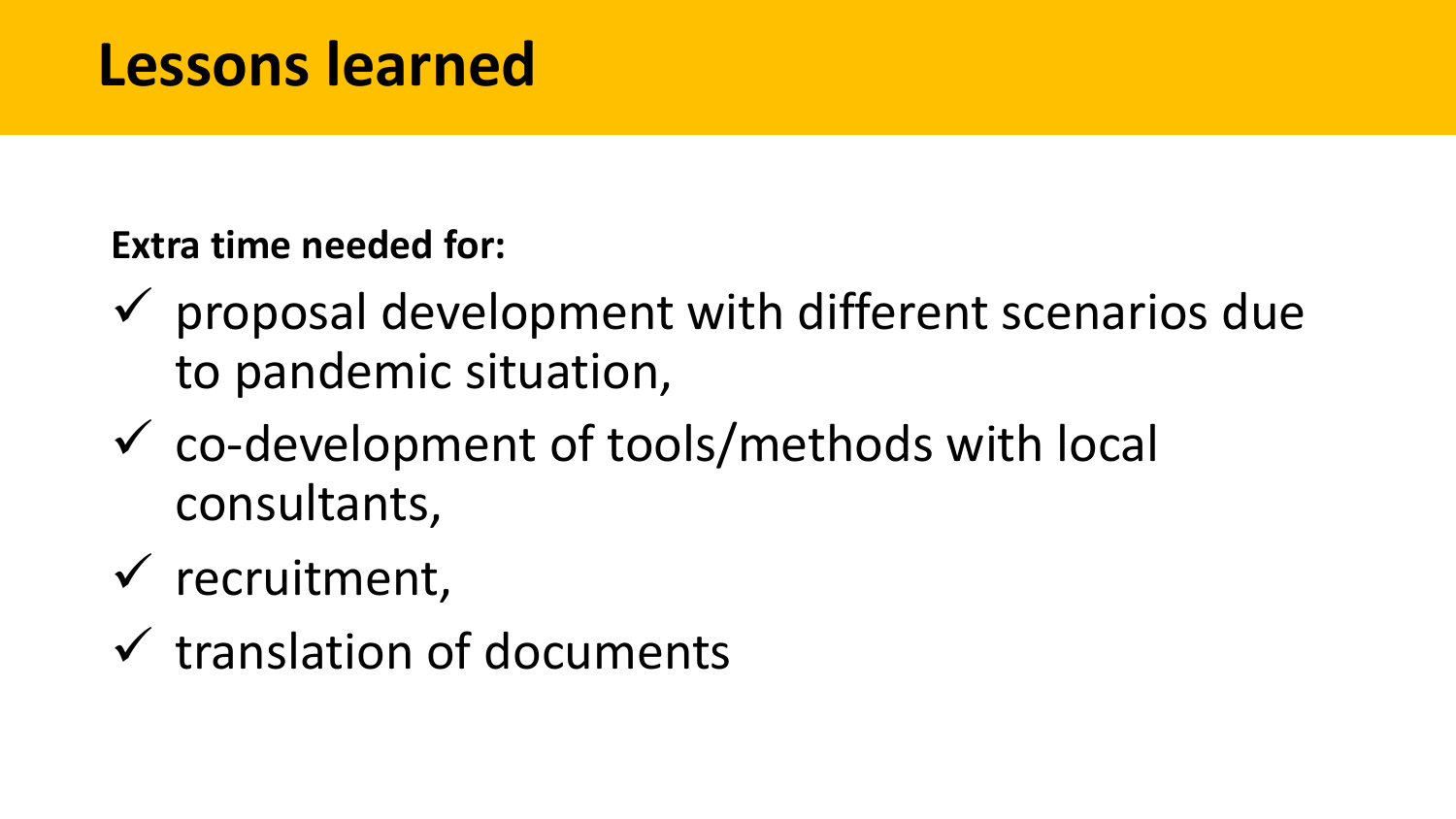**Extra time needed for:** 

- $\checkmark$  proposal development with different scenarios due to pandemic situation,
- $\checkmark$  co-development of tools/methods with local consultants,
- $\checkmark$  recruitment,
- $\checkmark$  translation of documents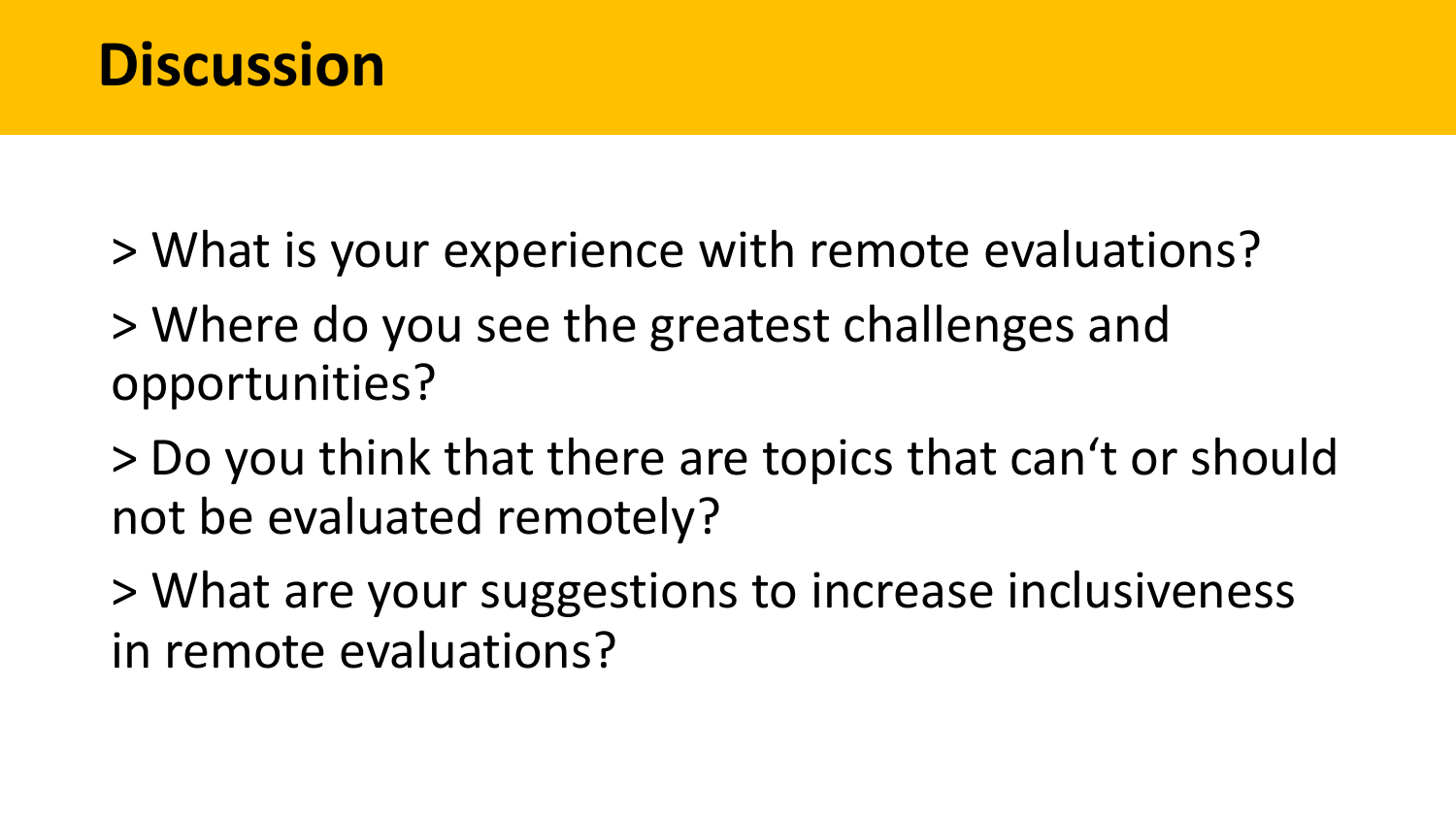### **Discussion**

- > What is your experience with remote evaluations?
- > Where do you see the greatest challenges and opportunities?
- > Do you think that there are topics that can't or should not be evaluated remotely?
- > What are your suggestions to increase inclusiveness in remote evaluations?